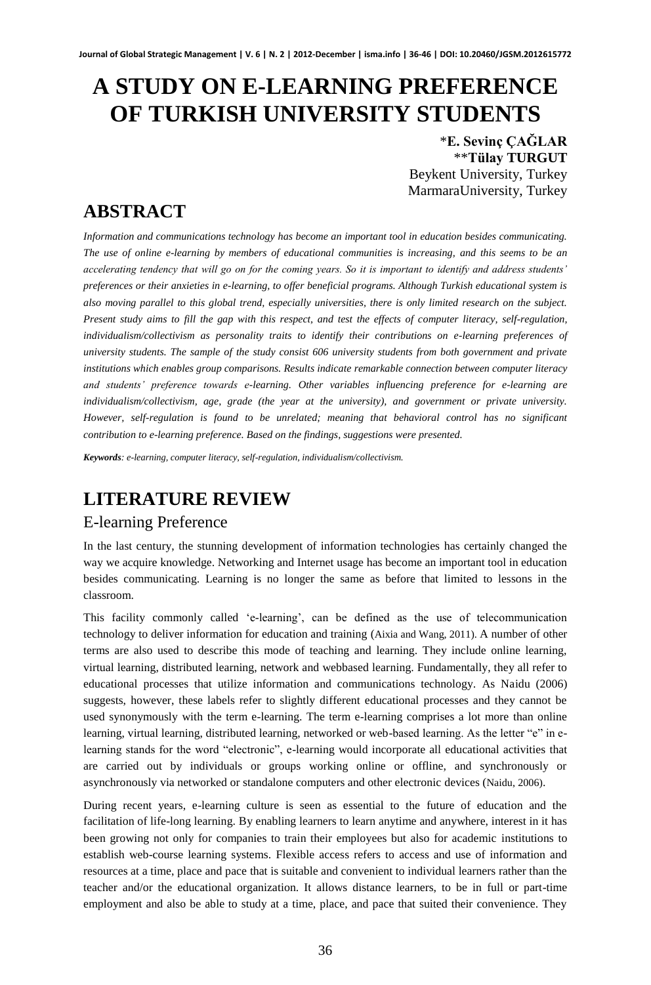# **A STUDY ON E-LEARNING PREFERENCE OF TURKISH UNIVERSITY STUDENTS**

\***E. Sevinç ÇAĞLAR** \*\***Tülay TURGUT** Beykent University, Turkey MarmaraUniversity, Turkey

# **ABSTRACT**

*Information and communications technology has become an important tool in education besides communicating. The use of online e-learning by members of educational communities is increasing, and this seems to be an accelerating tendency that will go on for the coming years. So it is important to identify and address students' preferences or their anxieties in e-learning, to offer beneficial programs. Although Turkish educational system is also moving parallel to this global trend, especially universities, there is only limited research on the subject. Present study aims to fill the gap with this respect, and test the effects of computer literacy, self-regulation, individualism/collectivism as personality traits to identify their contributions on e-learning preferences of university students. The sample of the study consist 606 university students from both government and private institutions which enables group comparisons. Results indicate remarkable connection between computer literacy and students' preference towards e-learning. Other variables influencing preference for e-learning are individualism/collectivism, age, grade (the year at the university), and government or private university. However, self-regulation is found to be unrelated; meaning that behavioral control has no significant contribution to e-learning preference. Based on the findings, suggestions were presented.* 

*Keywords: e-learning, computer literacy, self-regulation, individualism/collectivism.* 

# **LITERATURE REVIEW**

### E-learning Preference

In the last century, the stunning development of information technologies has certainly changed the way we acquire knowledge. Networking and Internet usage has become an important tool in education besides communicating. Learning is no longer the same as before that limited to lessons in the classroom.

This facility commonly called 'e-learning', can be defined as the use of telecommunication technology to deliver information for education and training (Aixia and Wang, 2011). A number of other terms are also used to describe this mode of teaching and learning. They include online learning, virtual learning, distributed learning, network and webbased learning. Fundamentally, they all refer to educational processes that utilize information and communications technology. As Naidu (2006) suggests, however, these labels refer to slightly different educational processes and they cannot be used synonymously with the term e-learning. The term e-learning comprises a lot more than online learning, virtual learning, distributed learning, networked or web-based learning. As the letter "e" in elearning stands for the word "electronic", e-learning would incorporate all educational activities that are carried out by individuals or groups working online or offline, and synchronously or asynchronously via networked or standalone computers and other electronic devices (Naidu, 2006).

During recent years, e-learning culture is seen as essential to the future of education and the facilitation of life-long learning. By enabling learners to learn anytime and anywhere, interest in it has been growing not only for companies to train their employees but also for academic institutions to establish web-course learning systems. Flexible access refers to access and use of information and resources at a time, place and pace that is suitable and convenient to individual learners rather than the teacher and/or the educational organization. It allows distance learners, to be in full or part-time employment and also be able to study at a time, place, and pace that suited their convenience. They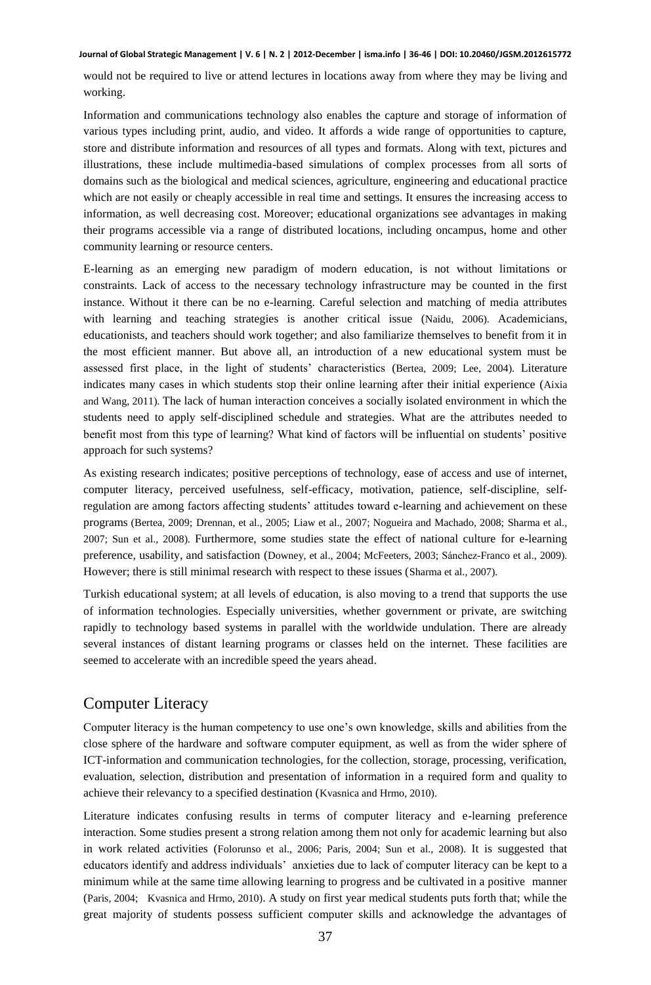would not be required to live or attend lectures in locations away from where they may be living and working.

Information and communications technology also enables the capture and storage of information of various types including print, audio, and video. It affords a wide range of opportunities to capture, store and distribute information and resources of all types and formats. Along with text, pictures and illustrations, these include multimedia-based simulations of complex processes from all sorts of domains such as the biological and medical sciences, agriculture, engineering and educational practice which are not easily or cheaply accessible in real time and settings. It ensures the increasing access to information, as well decreasing cost. Moreover; educational organizations see advantages in making their programs accessible via a range of distributed locations, including oncampus, home and other community learning or resource centers.

E-learning as an emerging new paradigm of modern education, is not without limitations or constraints. Lack of access to the necessary technology infrastructure may be counted in the first instance. Without it there can be no e-learning. Careful selection and matching of media attributes with learning and teaching strategies is another critical issue (Naidu, 2006). Academicians, educationists, and teachers should work together; and also familiarize themselves to benefit from it in the most efficient manner. But above all, an introduction of a new educational system must be assessed first place, in the light of students' characteristics (Bertea, 2009; Lee, 2004). Literature indicates many cases in which students stop their online learning after their initial experience (Aixia and Wang, 2011). The lack of human interaction conceives a socially isolated environment in which the students need to apply self-disciplined schedule and strategies. What are the attributes needed to benefit most from this type of learning? What kind of factors will be influential on students' positive approach for such systems?

As existing research indicates; positive perceptions of technology, ease of access and use of internet, computer literacy, perceived usefulness, self-efficacy, motivation, patience, self-discipline, selfregulation are among factors affecting students' attitudes toward e-learning and achievement on these programs (Bertea, 2009; Drennan, et al., 2005; Liaw et al., 2007; Nogueira and Machado, 2008; Sharma et al., 2007; Sun et al., 2008). Furthermore, some studies state the effect of national culture for e-learning preference, usability, and satisfaction (Downey, et al., 2004; McFeeters, 2003; Sánchez-Franco et al., 2009). However; there is still minimal research with respect to these issues (Sharma et al., 2007).

Turkish educational system; at all levels of education, is also moving to a trend that supports the use of information technologies. Especially universities, whether government or private, are switching rapidly to technology based systems in parallel with the worldwide undulation. There are already several instances of distant learning programs or classes held on the internet. These facilities are seemed to accelerate with an incredible speed the years ahead.

## Computer Literacy

Computer literacy is the human competency to use one's own knowledge, skills and abilities from the close sphere of the hardware and software computer equipment, as well as from the wider sphere of ICT-information and communication technologies, for the collection, storage, processing, verification, evaluation, selection, distribution and presentation of information in a required form and quality to achieve their relevancy to a specified destination (Kvasnica and Hrmo, 2010).

Literature indicates confusing results in terms of computer literacy and e-learning preference interaction. Some studies present a strong relation among them not only for academic learning but also in work related activities (Folorunso et al., 2006; Paris, 2004; Sun et al., 2008). It is suggested that educators identify and address individuals' anxieties due to lack of computer literacy can be kept to a minimum while at the same time allowing learning to progress and be cultivated in a positive manner (Paris, 2004; Kvasnica and Hrmo, 2010). A study on first year medical students puts forth that; while the great majority of students possess sufficient computer skills and acknowledge the advantages of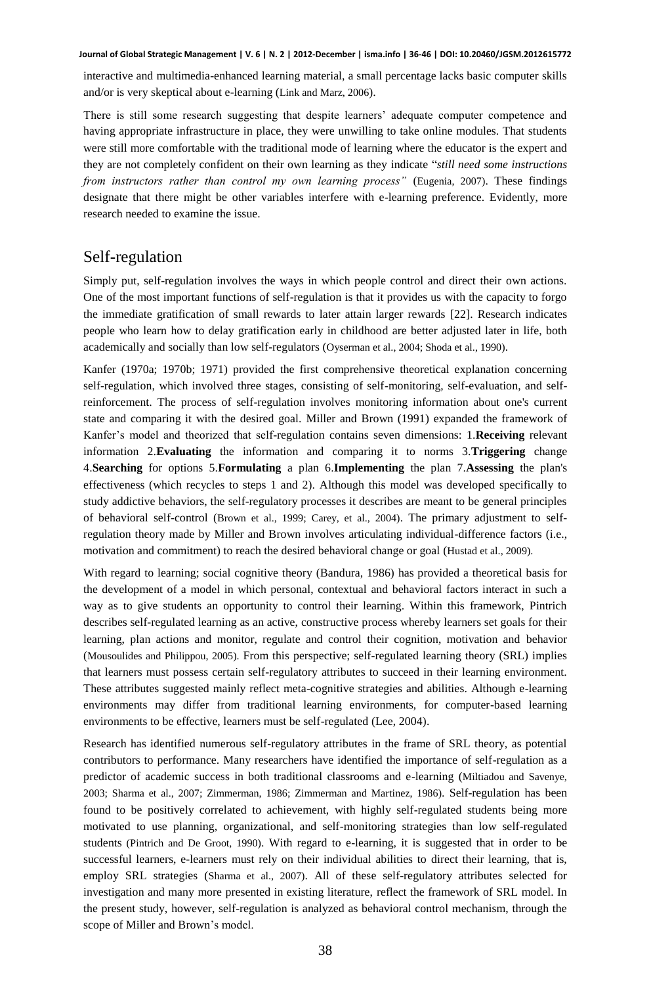interactive and multimedia-enhanced learning material, a small percentage lacks basic computer skills and/or is very skeptical about e-learning (Link and Marz, 2006).

There is still some research suggesting that despite learners' adequate computer competence and having appropriate infrastructure in place, they were unwilling to take online modules. That students were still more comfortable with the traditional mode of learning where the educator is the expert and they are not completely confident on their own learning as they indicate "*still need some instructions from instructors rather than control my own learning process"* (Eugenia, 2007). These findings designate that there might be other variables interfere with e-learning preference. Evidently, more research needed to examine the issue.

### Self-regulation

Simply put, self-regulation involves the ways in which people control and direct their own actions. One of the most important functions of self-regulation is that it provides us with the capacity to forgo the immediate gratification of small rewards to later attain larger rewards [22]. Research indicates people who learn how to delay gratification early in childhood are better adjusted later in life, both academically and socially than low self-regulators (Oyserman et al., 2004; Shoda et al., 1990).

[Kanfer](http://www.ncbi.nlm.nih.gov/pmc/articles/PMC2670743/#B22) (1970a; 1970b; 1971) provided the first comprehensive theoretical explanation concerning self-regulation, which involved three stages, consisting of self-monitoring, self-evaluation, and selfreinforcement. The process of self-regulation involves monitoring information about one's current state and comparing it with the desired goal. [Miller and Brown \(](http://www.ncbi.nlm.nih.gov/pmc/articles/PMC2670743/#B27)1991) expanded the framework of Kanfer's model and theorized that self-regulation contains seven dimensions: 1.**Receiving** relevant information 2.**Evaluating** the information and comparing it to norms 3.**Triggering** change 4.**Searching** for options 5.**Formulating** a plan 6.**Implementing** the plan 7.**Assessing** the plan's effectiveness (which recycles to steps 1 and 2). Although this model was developed specifically to study addictive behaviors, the self-regulatory processes it describes are meant to be general principles of behavioral self-control (Brown et al., 1999; Carey, et al., 2004). The primary adjustment to selfregulation theory made by Miller and Brown involves articulating individual-difference factors (i.e., motivation and commitment) to reach the desired behavioral change or goal ([Hustad e](http://www.ncbi.nlm.nih.gov/sites/entrez?cmd=search&db=PubMed&term=%20Hustad%2BJT%5bauth%5d)t al., 2009).

With regard to learning; social cognitive theory (Bandura, 1986) has provided a theoretical basis for the development of a model in which personal, contextual and behavioral factors interact in such a way as to give students an opportunity to control their learning. Within this framework, Pintrich describes self-regulated learning as an active, constructive process whereby learners set goals for their learning, plan actions and monitor, regulate and control their cognition, motivation and behavior (Mousoulides and Philippou, 2005). From this perspective; self-regulated learning theory (SRL) implies that learners must possess certain self-regulatory attributes to succeed in their learning environment. These attributes suggested mainly reflect meta-cognitive strategies and abilities. Although e-learning environments may differ from traditional learning environments, for computer-based learning environments to be effective, learners must be self-regulated (Lee, 2004).

Research has identified numerous self-regulatory attributes in the frame of SRL theory, as potential contributors to performance. Many researchers have identified the importance of self-regulation as a predictor of academic success in both traditional classrooms and e-learning (Miltiadou and Savenye, 2003; Sharma et al., 2007; Zimmerman, 1986; Zimmerman and Martinez, 1986). Self-regulation has been found to be positively correlated to achievement, with highly self-regulated students being more motivated to use planning, organizational, and self-monitoring strategies than low self-regulated students (Pintrich and De Groot, 1990). With regard to e-learning, it is suggested that in order to be successful learners, e-learners must rely on their individual abilities to direct their learning, that is, employ SRL strategies (Sharma et al., 2007). All of these self-regulatory attributes selected for investigation and many more presented in existing literature, reflect the framework of SRL model. In the present study, however, self-regulation is analyzed as behavioral control mechanism, through the scope of Miller and Brown's model.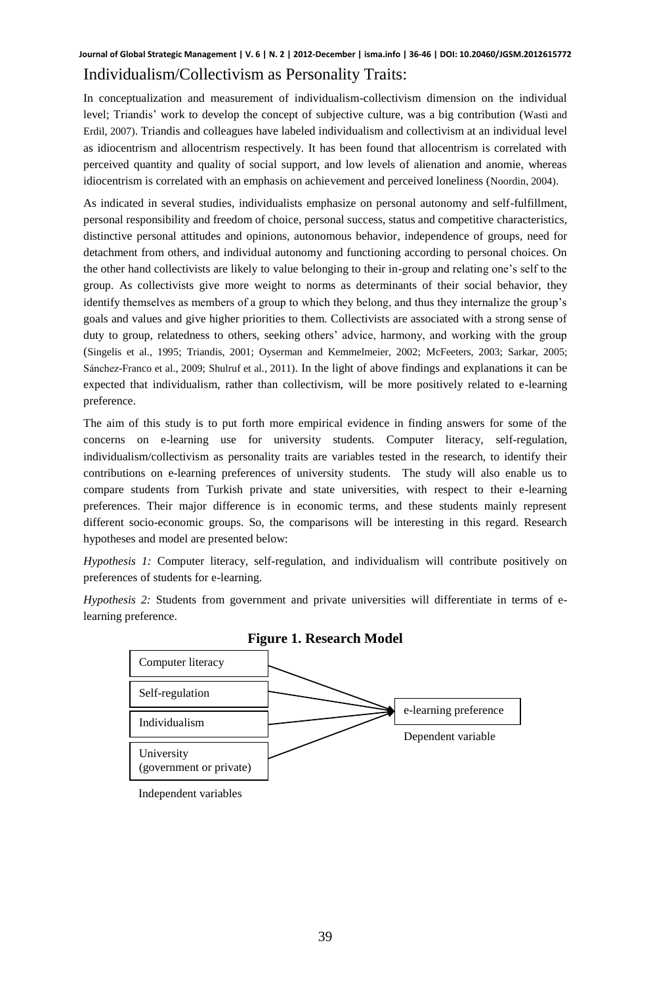## Individualism/Collectivism as Personality Traits:

In conceptualization and measurement of individualism-collectivism dimension on the individual level; Triandis' work to develop the concept of subjective culture, was a big contribution (Wasti and Erdil, 2007). Triandis and colleagues have labeled individualism and collectivism at an individual level as idiocentrism and allocentrism respectively. It has been found that allocentrism is correlated with perceived quantity and quality of social support, and low levels of alienation and anomie, whereas idiocentrism is correlated with an emphasis on achievement and perceived loneliness (Noordin, 2004).

As indicated in several studies, individualists emphasize on personal autonomy and self-fulfillment, personal responsibility and freedom of choice, personal success, status and competitive characteristics, distinctive personal attitudes and opinions, autonomous behavior, independence of groups, need for detachment from others, and individual autonomy and functioning according to personal choices. On the other hand collectivists are likely to value belonging to their in-group and relating one's self to the group. As collectivists give more weight to norms as determinants of their social behavior, they identify themselves as members of a group to which they belong, and thus they internalize the group's goals and values and give higher priorities to them. Collectivists are associated with a strong sense of duty to group, relatedness to others, seeking others' advice, harmony, and working with the group (Singelis et al., 1995; Triandis, 2001; Oyserman and Kemmelmeier, 2002; McFeeters, 2003; Sarkar, 2005; Sánchez-Franco et al., 2009; Shulruf et al., 2011). In the light of above findings and explanations it can be expected that individualism, rather than collectivism, will be more positively related to e-learning preference.

The aim of this study is to put forth more empirical evidence in finding answers for some of the concerns on e-learning use for university students. Computer literacy, self-regulation, individualism/collectivism as personality traits are variables tested in the research, to identify their contributions on e-learning preferences of university students. The study will also enable us to compare students from Turkish private and state universities, with respect to their e-learning preferences. Their major difference is in economic terms, and these students mainly represent different socio-economic groups. So, the comparisons will be interesting in this regard. Research hypotheses and model are presented below:

*Hypothesis 1:* Computer literacy, self-regulation, and individualism will contribute positively on preferences of students for e-learning.

*Hypothesis 2:* Students from government and private universities will differentiate in terms of elearning preference.





Independent variables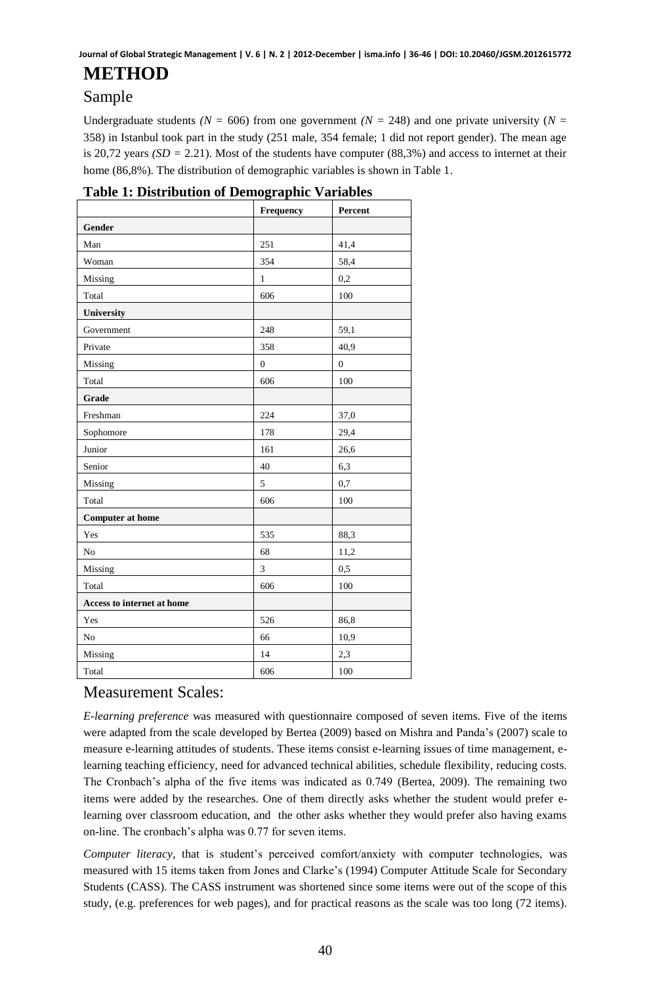# **METHOD**

## Sample

Undergraduate students  $(N = 606)$  from one government  $(N = 248)$  and one private university  $(N = 248)$ 358) in Istanbul took part in the study (251 male, 354 female; 1 did not report gender). The mean age is 20,72 years *(SD =* 2.21). Most of the students have computer (88,3%) and access to internet at their home (86,8%). The distribution of demographic variables is shown in Table 1.

|                            | Frequency      | Percent        |
|----------------------------|----------------|----------------|
| Gender                     |                |                |
| Man                        | 251            | 41,4           |
| Woman                      | 354            | 58,4           |
| Missing                    | $\mathbf{1}$   | 0,2            |
| Total                      | 606            | 100            |
| University                 |                |                |
| Government                 | 248            | 59,1           |
| Private                    | 358            | 40,9           |
| Missing                    | $\overline{0}$ | $\overline{0}$ |
| Total                      | 606            | 100            |
| Grade                      |                |                |
| Freshman                   | 224            | 37,0           |
| Sophomore                  | 178            | 29,4           |
| Junior                     | 161            | 26,6           |
| Senior                     | 40             | 6,3            |
| Missing                    | 5              | 0,7            |
| Total                      | 606            | 100            |
| <b>Computer at home</b>    |                |                |
| Yes                        | 535            | 88,3           |
| No                         | 68             | 11,2           |
| Missing                    | $\overline{3}$ | 0,5            |
| Total                      | 606            | 100            |
| Access to internet at home |                |                |
| Yes                        | 526            | 86,8           |
| No                         | 66             | 10,9           |
| Missing                    | 14             | 2,3            |
| Total                      | 606            | 100            |

#### **Table 1: Distribution of Demographic Variables**

## Measurement Scales:

*E-learning preference* was measured with questionnaire composed of seven items. Five of the items were adapted from the scale developed by Bertea (2009) based on Mishra and Panda's (2007) scale to measure e-learning attitudes of students. These items consist e-learning issues of time management, elearning teaching efficiency, need for advanced technical abilities, schedule flexibility, reducing costs. The Cronbach's alpha of the five items was indicated as 0.749 (Bertea, 2009). The remaining two items were added by the researches. One of them directly asks whether the student would prefer elearning over classroom education, and the other asks whether they would prefer also having exams on-line. The cronbach's alpha was 0.77 for seven items.

*Computer literacy,* that is student's perceived comfort/anxiety with computer technologies, was measured with 15 items taken from Jones and Clarke's (1994) Computer Attitude Scale for Secondary Students (CASS). The CASS instrument was shortened since some items were out of the scope of this study, (e.g. preferences for web pages), and for practical reasons as the scale was too long (72 items).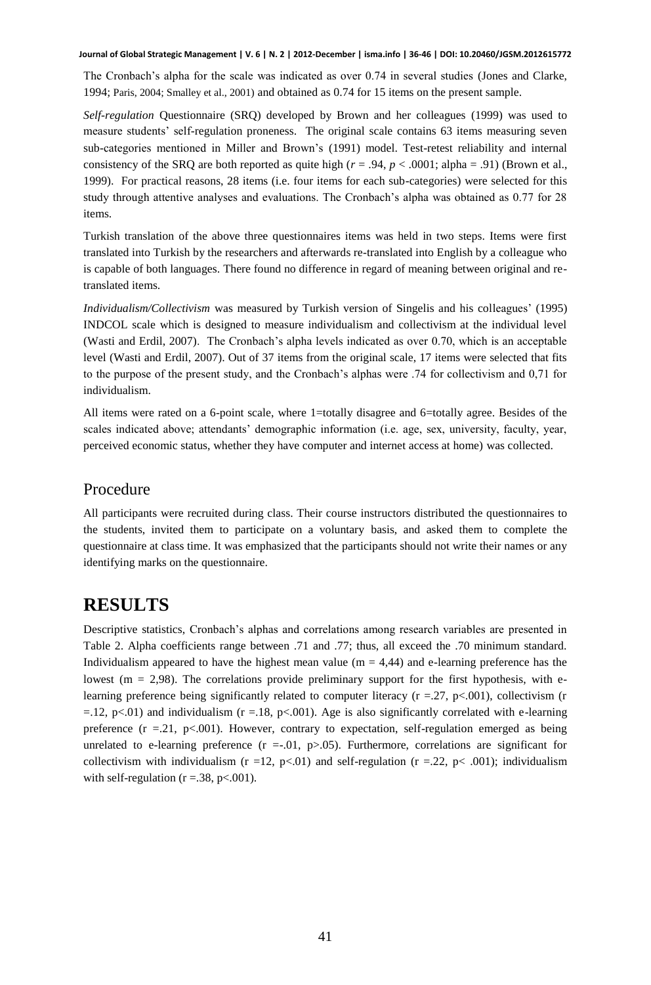The Cronbach's alpha for the scale was indicated as over 0.74 in several studies (Jones and Clarke, 1994; Paris, 2004; Smalley et al., 2001) and obtained as 0.74 for 15 items on the present sample.

*Self-regulation* Questionnaire (SRQ) developed by Brown and her colleagues (1999) was used to measure students' self-regulation proneness. The original scale contains 63 items measuring seven sub-categories mentioned in Miller and Brown's (1991) model. Test-retest reliability and internal consistency of the SRQ are both reported as quite high ( $r = .94$ ,  $p < .0001$ ; alpha = .91) (Brown et al., 1999). For practical reasons, 28 items (i.e. four items for each sub-categories) were selected for this study through attentive analyses and evaluations. The Cronbach's alpha was obtained as 0.77 for 28 items.

Turkish translation of the above three questionnaires items was held in two steps. Items were first translated into Turkish by the researchers and afterwards re-translated into English by a colleague who is capable of both languages. There found no difference in regard of meaning between original and retranslated items.

*Individualism/Collectivism* was measured by Turkish version of Singelis and his colleagues' (1995) INDCOL scale which is designed to measure individualism and collectivism at the individual level (Wasti and Erdil, 2007). The Cronbach's alpha levels indicated as over 0.70, which is an acceptable level (Wasti and Erdil, 2007). Out of 37 items from the original scale, 17 items were selected that fits to the purpose of the present study, and the Cronbach's alphas were .74 for collectivism and 0,71 for individualism.

All items were rated on a 6-point scale, where 1=totally disagree and 6=totally agree. Besides of the scales indicated above; attendants' demographic information (i.e. age, sex, university, faculty, year, perceived economic status, whether they have computer and internet access at home) was collected.

#### Procedure

All participants were recruited during class. Their course instructors distributed the questionnaires to the students, invited them to participate on a voluntary basis, and asked them to complete the questionnaire at class time. It was emphasized that the participants should not write their names or any identifying marks on the questionnaire.

## **RESULTS**

Descriptive statistics, Cronbach's alphas and correlations among research variables are presented in Table 2. Alpha coefficients range between .71 and .77; thus, all exceed the .70 minimum standard. Individualism appeared to have the highest mean value ( $m = 4,44$ ) and e-learning preference has the lowest ( $m = 2.98$ ). The correlations provide preliminary support for the first hypothesis, with elearning preference being significantly related to computer literacy ( $r = .27$ ,  $p < .001$ ), collectivism (r  $=$ .12, p<.01) and individualism (r = 18, p<.001). Age is also significantly correlated with e-learning preference  $(r = .21, p < .001)$ . However, contrary to expectation, self-regulation emerged as being unrelated to e-learning preference  $(r = .01, p > .05)$ . Furthermore, correlations are significant for collectivism with individualism (r =12, p<.01) and self-regulation (r =.22, p< .001); individualism with self-regulation ( $r = 0.38$ ,  $p < 0.001$ ).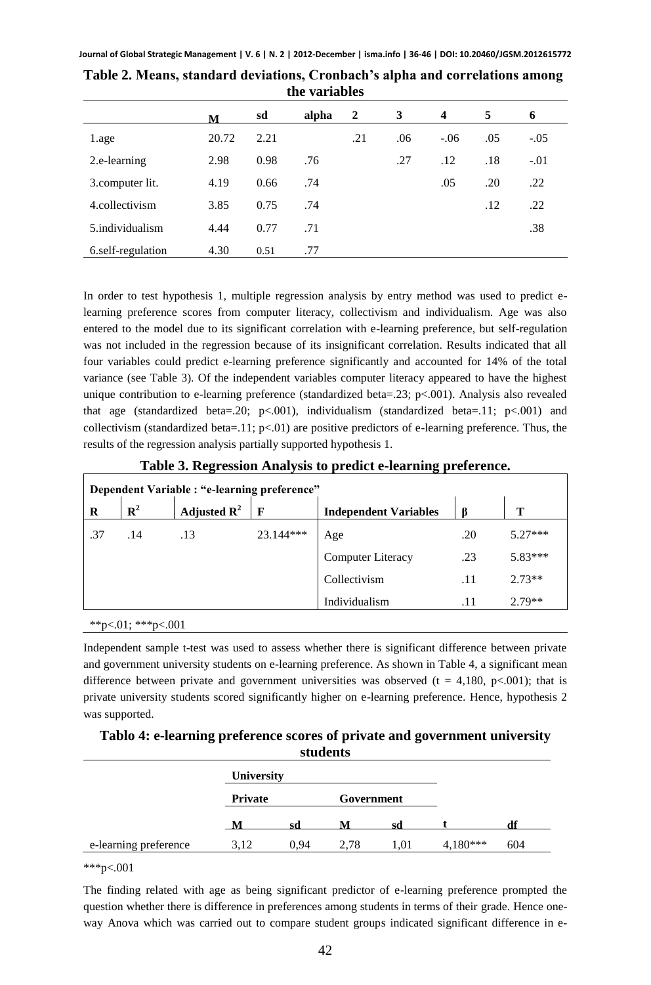|                   | м     | sd   | alpha | $\overline{2}$ | 3   | 4      | 5   | 6      |
|-------------------|-------|------|-------|----------------|-----|--------|-----|--------|
| 1.age             | 20.72 | 2.21 |       | .21            | .06 | $-.06$ | .05 | $-.05$ |
| 2.e-learning      | 2.98  | 0.98 | .76   |                | .27 | .12    | .18 | $-.01$ |
| 3.computer lit.   | 4.19  | 0.66 | .74   |                |     | .05    | .20 | .22    |
| 4.collectivism    | 3.85  | 0.75 | .74   |                |     |        | .12 | .22    |
| 5.individualism   | 4.44  | 0.77 | .71   |                |     |        |     | .38    |
| 6.self-regulation | 4.30  | 0.51 | .77   |                |     |        |     |        |

**Table 2. Means, standard deviations, Cronbach's alpha and correlations among the variables**

In order to test hypothesis 1, multiple regression analysis by entry method was used to predict elearning preference scores from computer literacy, collectivism and individualism. Age was also entered to the model due to its significant correlation with e-learning preference, but self-regulation was not included in the regression because of its insignificant correlation. Results indicated that all four variables could predict e-learning preference significantly and accounted for 14% of the total variance (see Table 3). Of the independent variables computer literacy appeared to have the highest unique contribution to e-learning preference (standardized beta=.23; p<.001). Analysis also revealed that age (standardized beta=.20; p<.001), individualism (standardized beta=.11; p<.001) and collectivism (standardized beta=.11; p<.01) are positive predictors of e-learning preference. Thus, the results of the regression analysis partially supported hypothesis 1.

**Table 3. Regression Analysis to predict e-learning preference.** 

| Dependent Variable : "e-learning preference" |             |                         |             |                              |     |           |  |
|----------------------------------------------|-------------|-------------------------|-------------|------------------------------|-----|-----------|--|
| R                                            | ${\bf R}^2$ | Adjusted $\mathbf{R}^2$ | $\mathbf F$ | <b>Independent Variables</b> |     | т         |  |
| .37                                          | .14         | .13                     | 23.144***   | Age                          | .20 | $5.27***$ |  |
|                                              |             |                         |             | Computer Literacy            | .23 | $5.83***$ |  |
|                                              |             |                         |             | Collectivism                 | .11 | $2.73**$  |  |
|                                              |             |                         |             | Individualism                | .11 | $2.79**$  |  |

\*\*p<.01; \*\*\*p<.001

Independent sample t-test was used to assess whether there is significant difference between private and government university students on e-learning preference. As shown in Table 4, a significant mean difference between private and government universities was observed  $(t = 4,180, p<.001)$ ; that is private university students scored significantly higher on e-learning preference. Hence, hypothesis 2 was supported.

### **Tablo 4: e-learning preference scores of private and government university students**

|                       | <b>University</b> |      |            |      |            |     |
|-----------------------|-------------------|------|------------|------|------------|-----|
|                       | <b>Private</b>    |      | Government |      |            |     |
|                       | M                 | .cd  |            | sd   |            |     |
| e-learning preference | 3.12              | 0.94 | 2,78       | 1.01 | $4.180***$ | 604 |

 $***p<.001$ 

The finding related with age as being significant predictor of e-learning preference prompted the question whether there is difference in preferences among students in terms of their grade. Hence oneway Anova which was carried out to compare student groups indicated significant difference in e-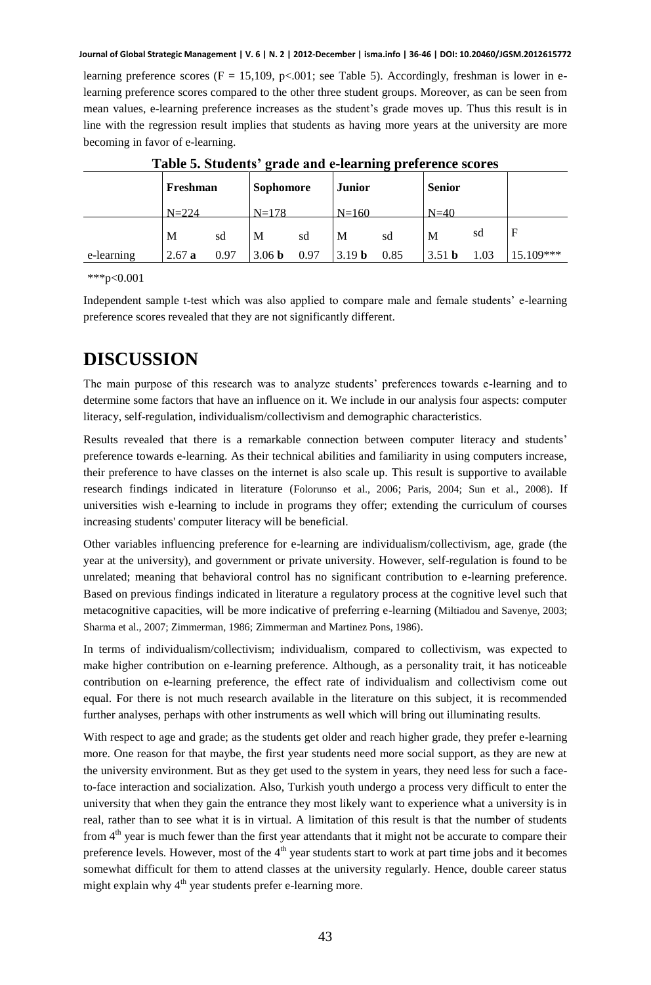learning preference scores ( $F = 15,109$ , p<.001; see Table 5). Accordingly, freshman is lower in elearning preference scores compared to the other three student groups. Moreover, as can be seen from mean values, e-learning preference increases as the student's grade moves up. Thus this result is in line with the regression result implies that students as having more years at the university are more becoming in favor of e-learning.

| Table st Stadents - grade and e-fearming preference scores |           |      |                   |      |                   |      |                   |      |             |
|------------------------------------------------------------|-----------|------|-------------------|------|-------------------|------|-------------------|------|-------------|
|                                                            | Freshman  |      | <b>Sophomore</b>  |      | <b>Junior</b>     |      | <b>Senior</b>     |      |             |
|                                                            | $N = 224$ |      | $N=178$           |      | $N = 160$         |      | $N=40$            |      |             |
|                                                            | M         | sd   | M                 | sd   | M                 | sd   | M                 | sd   | F           |
| e-learning                                                 | 2.67a     | 0.97 | 3.06 <sub>b</sub> | 0.97 | 3.19 <sub>b</sub> | 0.85 | 3.51 <sub>b</sub> | 1.03 | $15.109***$ |

**Table 5. Students' grade and e-learning preference scores** 

\*\*\*p<0.001

Independent sample t-test which was also applied to compare male and female students' e-learning preference scores revealed that they are not significantly different.

# **DISCUSSION**

The main purpose of this research was to analyze students' preferences towards e-learning and to determine some factors that have an influence on it. We include in our analysis four aspects: computer literacy, self-regulation, individualism/collectivism and demographic characteristics.

Results revealed that there is a remarkable connection between computer literacy and students' preference towards e-learning. As their technical abilities and familiarity in using computers increase, their preference to have classes on the internet is also scale up. This result is supportive to available research findings indicated in literature (Folorunso et al., 2006; Paris, 2004; Sun et al., 2008). If universities wish e-learning to include in programs they offer; extending the curriculum of courses increasing students' computer literacy will be beneficial.

Other variables influencing preference for e-learning are individualism/collectivism, age, grade (the year at the university), and government or private university. However, self-regulation is found to be unrelated; meaning that behavioral control has no significant contribution to e-learning preference. Based on previous findings indicated in literature a regulatory process at the cognitive level such that metacognitive capacities, will be more indicative of preferring e-learning (Miltiadou and Savenye, 2003; Sharma et al., 2007; Zimmerman, 1986; Zimmerman and Martinez Pons, 1986).

In terms of individualism/collectivism; individualism, compared to collectivism, was expected to make higher contribution on e-learning preference. Although, as a personality trait, it has noticeable contribution on e-learning preference, the effect rate of individualism and collectivism come out equal. For there is not much research available in the literature on this subject, it is recommended further analyses, perhaps with other instruments as well which will bring out illuminating results.

With respect to age and grade; as the students get older and reach higher grade, they prefer e-learning more. One reason for that maybe, the first year students need more social support, as they are new at the university environment. But as they get used to the system in years, they need less for such a faceto-face interaction and socialization. Also, Turkish youth undergo a process very difficult to enter the university that when they gain the entrance they most likely want to experience what a university is in real, rather than to see what it is in virtual. A limitation of this result is that the number of students from  $4<sup>th</sup>$  year is much fewer than the first year attendants that it might not be accurate to compare their preference levels. However, most of the 4<sup>th</sup> year students start to work at part time jobs and it becomes somewhat difficult for them to attend classes at the university regularly. Hence, double career status might explain why  $4<sup>th</sup>$  year students prefer e-learning more.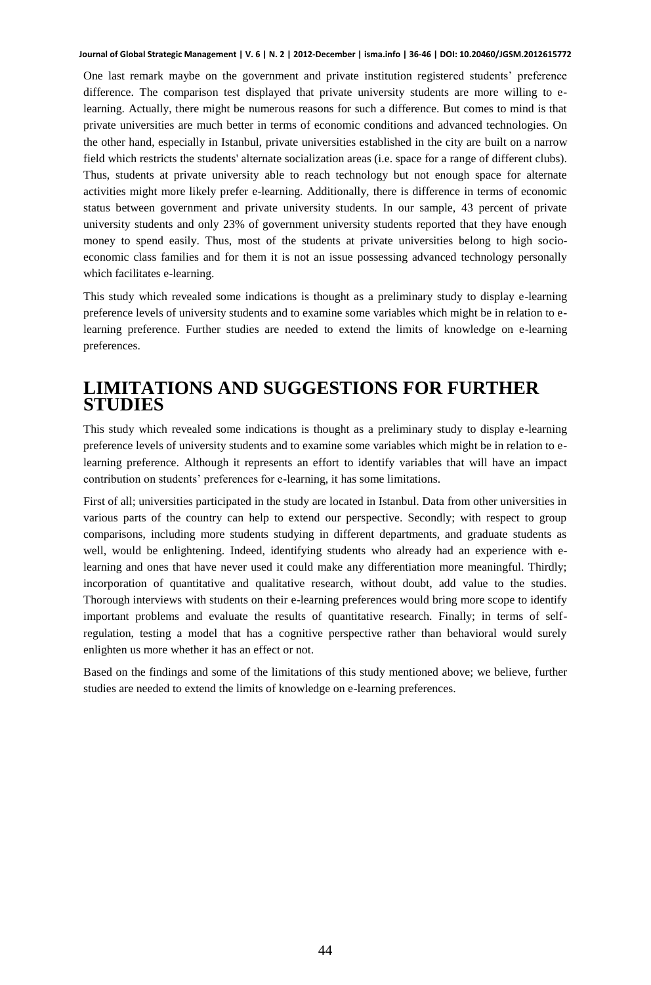One last remark maybe on the government and private institution registered students' preference difference. The comparison test displayed that private university students are more willing to elearning. Actually, there might be numerous reasons for such a difference. But comes to mind is that private universities are much better in terms of economic conditions and advanced technologies. On the other hand, especially in Istanbul, private universities established in the city are built on a narrow field which restricts the students' alternate socialization areas (i.e. space for a range of different clubs). Thus, students at private university able to reach technology but not enough space for alternate activities might more likely prefer e-learning. Additionally, there is difference in terms of economic status between government and private university students. In our sample, 43 percent of private university students and only 23% of government university students reported that they have enough money to spend easily. Thus, most of the students at private universities belong to high socioeconomic class families and for them it is not an issue possessing advanced technology personally which facilitates e-learning.

This study which revealed some indications is thought as a preliminary study to display e-learning preference levels of university students and to examine some variables which might be in relation to elearning preference. Further studies are needed to extend the limits of knowledge on e-learning preferences.

# **LIMITATIONS AND SUGGESTIONS FOR FURTHER STUDIES**

This study which revealed some indications is thought as a preliminary study to display e-learning preference levels of university students and to examine some variables which might be in relation to elearning preference. Although it represents an effort to identify variables that will have an impact contribution on students' preferences for e-learning, it has some limitations.

First of all; universities participated in the study are located in Istanbul. Data from other universities in various parts of the country can help to extend our perspective. Secondly; with respect to group comparisons, including more students studying in different departments, and graduate students as well, would be enlightening. Indeed, identifying students who already had an experience with elearning and ones that have never used it could make any differentiation more meaningful. Thirdly; incorporation of quantitative and qualitative research, without doubt, add value to the studies. Thorough interviews with students on their e-learning preferences would bring more scope to identify important problems and evaluate the results of quantitative research. Finally; in terms of selfregulation, testing a model that has a cognitive perspective rather than behavioral would surely enlighten us more whether it has an effect or not.

Based on the findings and some of the limitations of this study mentioned above; we believe, further studies are needed to extend the limits of knowledge on e-learning preferences.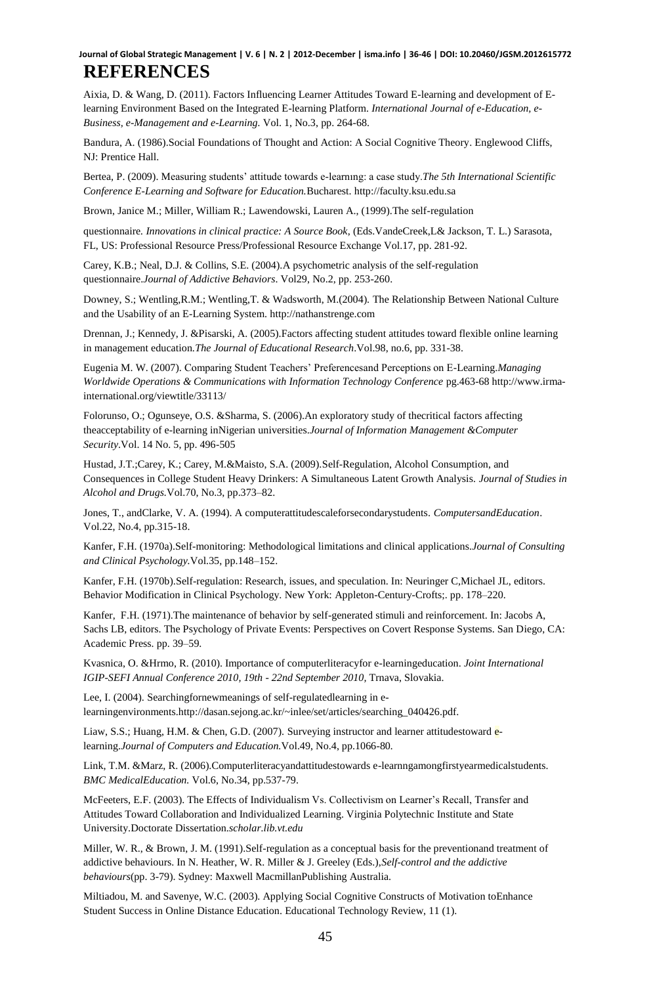## **REFERENCES**

Aixia, D. & Wang, D. (2011). Factors Influencing Learner Attitudes Toward E-learning and development of Elearning Environment Based on the Integrated E-learning Platform. *International Journal of e-Education, e-Business, e-Management and e-Learning.* Vol. 1, No.3, pp. 264-68.

Bandura, A. (1986).Social Foundations of Thought and Action: A Social Cognitive Theory. Englewood Cliffs, NJ: Prentice Hall.

Bertea, P. (2009). Measuring students' attitude towards e-learnıng: a case study.*The 5th International Scientific Conference E-Learning and Software for Education.*Bucharest. [http://faculty.ksu.edu.sa](http://faculty.ksu.edu.sa/)

Brown, Janice M.; Miller, William R.; Lawendowski, Lauren A., (1999).The self-regulation

questionnaire*. Innovations in clinical practice: A Source Book*, (Eds.VandeCreek,L& Jackson, T. L.) Sarasota, FL, US: Professional Resource Press/Professional Resource Exchange Vol.17, pp. 281-92.

Carey, K.B.; Neal, D.J. & Collins, S.E. (2004).A psychometric analysis of the self-regulation questionnaire.*Journal of Addictive Behaviors*. Vol29, No.2, pp. 253-260.

Downey, S.; Wentling,R.M.; Wentling,T. & Wadsworth, M.(2004). The Relationship Between National Culture and the Usability of an E-Learning System[. http://nathanstrenge.com](http://nathanstrenge.com/)

Drennan, J.; Kennedy, J. &Pisarski, A. (2005).Factors affecting student attitudes toward flexible online learning in management education.*The Journal of Educational Research*.Vol.98, no.6, pp. 331-38.

Eugenia M. W. (2007). Comparing Student Teachers' Preferencesand Perceptions on E-Learning.*Managing Worldwide Operations & Communications with Information Technology Conference* pg.463-68 http://www.irmainternational.org/viewtitle/33113/

Folorunso, O.; Ogunseye, O.S. &Sharma, S. (2006).An exploratory study of thecritical factors affecting theacceptability of e-learning inNigerian universities.*Journal of Information Management &Computer Security*.Vol. 14 No. 5, pp. 496-505

[Hustad,](http://www.ncbi.nlm.nih.gov/sites/entrez?cmd=search&db=PubMed&term=%20Hustad%2BJT%5bauth%5d) J.T.[;Carey,](http://www.ncbi.nlm.nih.gov/sites/entrez?cmd=search&db=PubMed&term=%20Carey%2BKB%5bauth%5d) K.; Carey, M.&Maisto, S.A. (2009).Self-Regulation, Alcohol Consumption, and Consequences in College Student Heavy Drinkers: A Simultaneous Latent Growth Analysis. *Journal of Studies in Alcohol and Drugs.*Vol.70, No.3, pp.373–82.

Jones, T., andClarke, V. A. (1994). A computerattitudescaleforsecondarystudents. *ComputersandEducation*. Vol.22, No.4, pp.315-18.

Kanfer, F.H. (1970a).Self-monitoring: Methodological limitations and clinical applications.*Journal of Consulting and Clinical Psychology.*Vol.35, pp.148–152.

Kanfer, F.H. (1970b).Self-regulation: Research, issues, and speculation. In: Neuringer C,Michael JL, editors. Behavior Modification in Clinical Psychology. New York: Appleton-Century-Crofts;. pp. 178–220.

Kanfer, F.H. (1971).The maintenance of behavior by self-generated stimuli and reinforcement. In: Jacobs A, Sachs LB, editors. The Psychology of Private Events: Perspectives on Covert Response Systems. San Diego, CA: Academic Press. pp. 39–59.

Kvasnica, O. &Hrmo, R. (2010). Importance of computerliteracyfor e-learningeducation. *Joint International*  IGIP-SEFI Annual Conference 2010, 19th - 22nd September 2010, Trnava, Slovakia.

Lee, I. (2004). Searchingfornewmeanings of self-regulatedlearning in elearningenvironments.http://dasan.sejong.ac.kr/~inlee/set/articles/searching\_040426.pdf.

Liaw, S.S.; Huang, H.M. & Chen, G.D. (2007). Surveying instructor and learner attitudestoward elearning.*Journal of Computers and Education.*Vol.49, No.4, pp.1066-80*.*

Link, T.M. &Marz, R. (2006).Computerliteracyandattitudestowards e-learnngamongfirstyearmedicalstudents. *BMC MedicalEducation.* Vol.6, No.34, pp.537-79.

McFeeters, E.F. (2003). The Effects of Individualism Vs. Collectivism on Learner's Recall, Transfer and Attitudes Toward Collaboration and Individualized Learning. Virginia Polytechnic Institute and State University.Doctorate Dissertation.*scholar.lib.vt.edu*

Miller, W. R., & Brown, J. M. (1991).Self-regulation as a conceptual basis for the preventionand treatment of addictive behaviours. In N. Heather, W. R. Miller & J. Greeley (Eds.),*Self-control and the addictive behaviours*(pp. 3-79). Sydney: Maxwell MacmillanPublishing Australia.

Miltiadou, M. and Savenye, W.C. (2003). Applying Social Cognitive Constructs of Motivation toEnhance Student Success in Online Distance Education. Educational Technology Review, 11 (1).